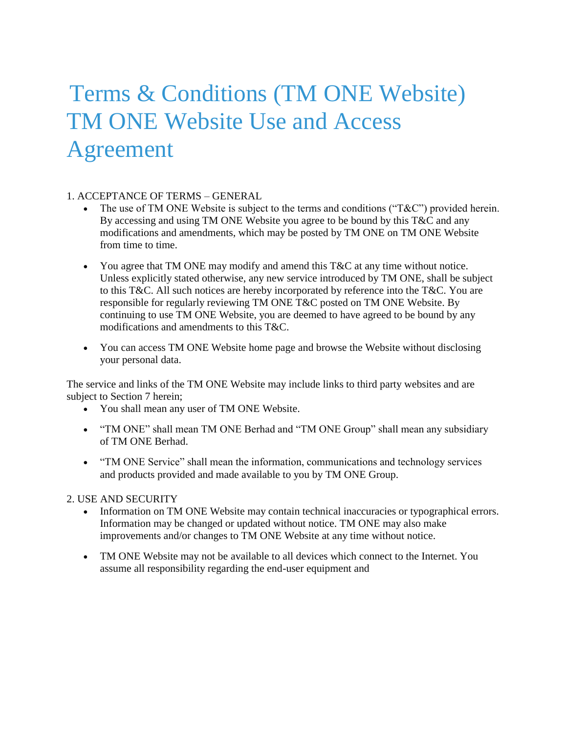# Terms & Conditions (TM ONE Website) TM ONE Website Use and Access Agreement

## 1. ACCEPTANCE OF TERMS – GENERAL

- The use of TM ONE Website is subject to the terms and conditions ("T&C") provided herein. By accessing and using TM ONE Website you agree to be bound by this T&C and any modifications and amendments, which may be posted by TM ONE on TM ONE Website from time to time.
- You agree that TM ONE may modify and amend this T&C at any time without notice. Unless explicitly stated otherwise, any new service introduced by TM ONE, shall be subject to this T&C. All such notices are hereby incorporated by reference into the T&C. You are responsible for regularly reviewing TM ONE T&C posted on TM ONE Website. By continuing to use TM ONE Website, you are deemed to have agreed to be bound by any modifications and amendments to this T&C.
- You can access TM ONE Website home page and browse the Website without disclosing your personal data.

The service and links of the TM ONE Website may include links to third party websites and are subject to Section 7 herein;

- You shall mean any user of TM ONE Website.
- "TM ONE" shall mean TM ONE Berhad and "TM ONE Group" shall mean any subsidiary of TM ONE Berhad.
- "TM ONE Service" shall mean the information, communications and technology services and products provided and made available to you by TM ONE Group.

#### 2. USE AND SECURITY

- Information on TM ONE Website may contain technical inaccuracies or typographical errors. Information may be changed or updated without notice. TM ONE may also make improvements and/or changes to TM ONE Website at any time without notice.
- TM ONE Website may not be available to all devices which connect to the Internet. You assume all responsibility regarding the end-user equipment and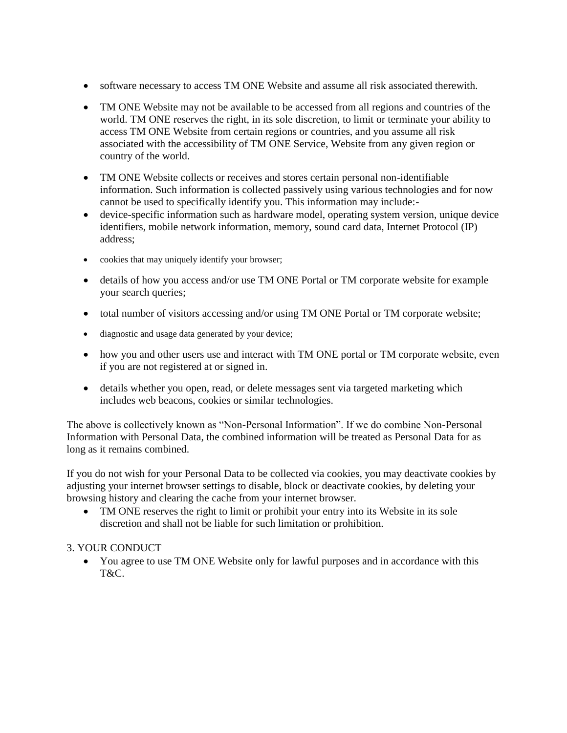- software necessary to access TM ONE Website and assume all risk associated therewith.
- TM ONE Website may not be available to be accessed from all regions and countries of the world. TM ONE reserves the right, in its sole discretion, to limit or terminate your ability to access TM ONE Website from certain regions or countries, and you assume all risk associated with the accessibility of TM ONE Service, Website from any given region or country of the world.
- TM ONE Website collects or receives and stores certain personal non-identifiable information. Such information is collected passively using various technologies and for now cannot be used to specifically identify you. This information may include:-
- device-specific information such as hardware model, operating system version, unique device identifiers, mobile network information, memory, sound card data, Internet Protocol (IP) address;
- cookies that may uniquely identify your browser;
- details of how you access and/or use TM ONE Portal or TM corporate website for example your search queries;
- total number of visitors accessing and/or using TM ONE Portal or TM corporate website;
- diagnostic and usage data generated by your device;
- how you and other users use and interact with TM ONE portal or TM corporate website, even if you are not registered at or signed in.
- details whether you open, read, or delete messages sent via targeted marketing which includes web beacons, cookies or similar technologies.

The above is collectively known as "Non-Personal Information". If we do combine Non-Personal Information with Personal Data, the combined information will be treated as Personal Data for as long as it remains combined.

If you do not wish for your Personal Data to be collected via cookies, you may deactivate cookies by adjusting your internet browser settings to disable, block or deactivate cookies, by deleting your browsing history and clearing the cache from your internet browser.

 TM ONE reserves the right to limit or prohibit your entry into its Website in its sole discretion and shall not be liable for such limitation or prohibition.

## 3. YOUR CONDUCT

 You agree to use TM ONE Website only for lawful purposes and in accordance with this T&C.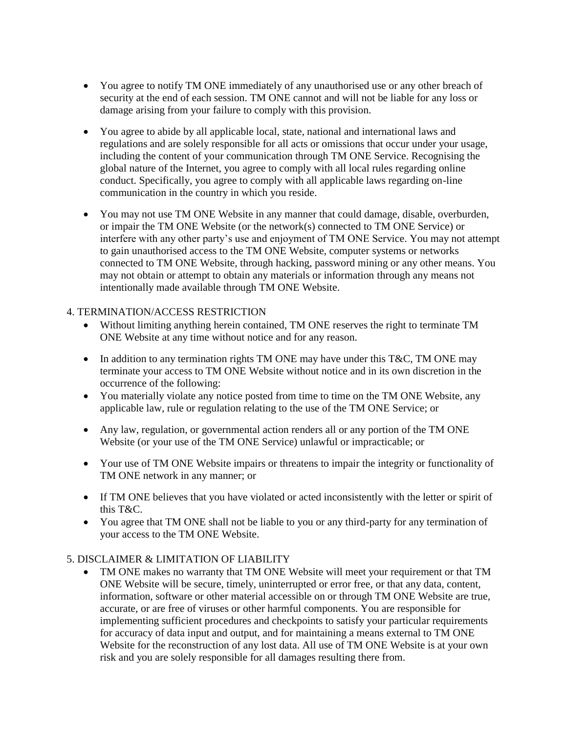- You agree to notify TM ONE immediately of any unauthorised use or any other breach of security at the end of each session. TM ONE cannot and will not be liable for any loss or damage arising from your failure to comply with this provision.
- You agree to abide by all applicable local, state, national and international laws and regulations and are solely responsible for all acts or omissions that occur under your usage, including the content of your communication through TM ONE Service. Recognising the global nature of the Internet, you agree to comply with all local rules regarding online conduct. Specifically, you agree to comply with all applicable laws regarding on-line communication in the country in which you reside.
- You may not use TM ONE Website in any manner that could damage, disable, overburden, or impair the TM ONE Website (or the network(s) connected to TM ONE Service) or interfere with any other party's use and enjoyment of TM ONE Service. You may not attempt to gain unauthorised access to the TM ONE Website, computer systems or networks connected to TM ONE Website, through hacking, password mining or any other means. You may not obtain or attempt to obtain any materials or information through any means not intentionally made available through TM ONE Website.

## 4. TERMINATION/ACCESS RESTRICTION

- Without limiting anything herein contained, TM ONE reserves the right to terminate TM ONE Website at any time without notice and for any reason.
- In addition to any termination rights TM ONE may have under this T&C, TM ONE may terminate your access to TM ONE Website without notice and in its own discretion in the occurrence of the following:
- You materially violate any notice posted from time to time on the TM ONE Website, any applicable law, rule or regulation relating to the use of the TM ONE Service; or
- Any law, regulation, or governmental action renders all or any portion of the TM ONE Website (or your use of the TM ONE Service) unlawful or impracticable; or
- Your use of TM ONE Website impairs or threatens to impair the integrity or functionality of TM ONE network in any manner; or
- If TM ONE believes that you have violated or acted inconsistently with the letter or spirit of this T&C.
- You agree that TM ONE shall not be liable to you or any third-party for any termination of your access to the TM ONE Website.

## 5. DISCLAIMER & LIMITATION OF LIABILITY

 TM ONE makes no warranty that TM ONE Website will meet your requirement or that TM ONE Website will be secure, timely, uninterrupted or error free, or that any data, content, information, software or other material accessible on or through TM ONE Website are true, accurate, or are free of viruses or other harmful components. You are responsible for implementing sufficient procedures and checkpoints to satisfy your particular requirements for accuracy of data input and output, and for maintaining a means external to TM ONE Website for the reconstruction of any lost data. All use of TM ONE Website is at your own risk and you are solely responsible for all damages resulting there from.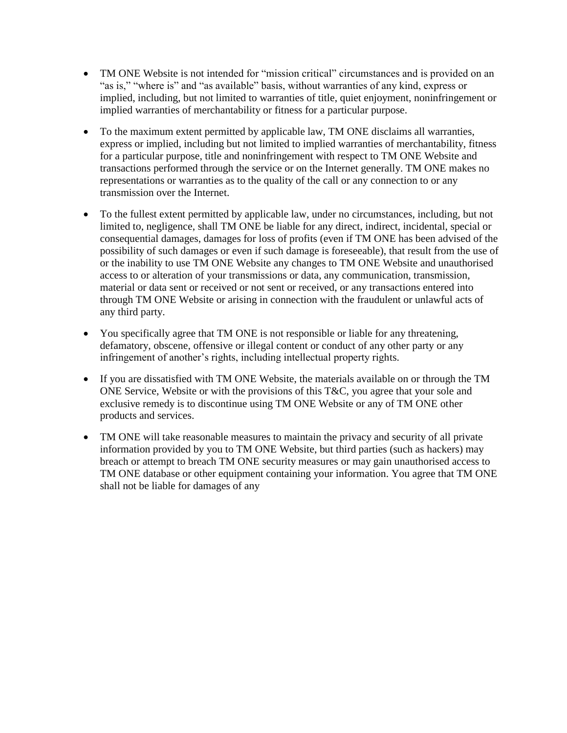- TM ONE Website is not intended for "mission critical" circumstances and is provided on an "as is," "where is" and "as available" basis, without warranties of any kind, express or implied, including, but not limited to warranties of title, quiet enjoyment, noninfringement or implied warranties of merchantability or fitness for a particular purpose.
- To the maximum extent permitted by applicable law, TM ONE disclaims all warranties, express or implied, including but not limited to implied warranties of merchantability, fitness for a particular purpose, title and noninfringement with respect to TM ONE Website and transactions performed through the service or on the Internet generally. TM ONE makes no representations or warranties as to the quality of the call or any connection to or any transmission over the Internet.
- To the fullest extent permitted by applicable law, under no circumstances, including, but not limited to, negligence, shall TM ONE be liable for any direct, indirect, incidental, special or consequential damages, damages for loss of profits (even if TM ONE has been advised of the possibility of such damages or even if such damage is foreseeable), that result from the use of or the inability to use TM ONE Website any changes to TM ONE Website and unauthorised access to or alteration of your transmissions or data, any communication, transmission, material or data sent or received or not sent or received, or any transactions entered into through TM ONE Website or arising in connection with the fraudulent or unlawful acts of any third party.
- You specifically agree that TM ONE is not responsible or liable for any threatening, defamatory, obscene, offensive or illegal content or conduct of any other party or any infringement of another's rights, including intellectual property rights.
- If you are dissatisfied with TM ONE Website, the materials available on or through the TM ONE Service, Website or with the provisions of this T&C, you agree that your sole and exclusive remedy is to discontinue using TM ONE Website or any of TM ONE other products and services.
- TM ONE will take reasonable measures to maintain the privacy and security of all private information provided by you to TM ONE Website, but third parties (such as hackers) may breach or attempt to breach TM ONE security measures or may gain unauthorised access to TM ONE database or other equipment containing your information. You agree that TM ONE shall not be liable for damages of any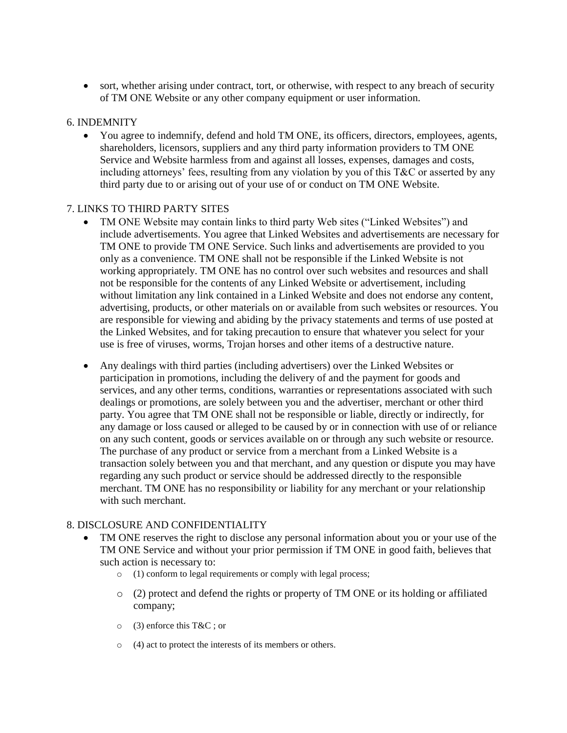• sort, whether arising under contract, tort, or otherwise, with respect to any breach of security of TM ONE Website or any other company equipment or user information.

#### 6. INDEMNITY

 You agree to indemnify, defend and hold TM ONE, its officers, directors, employees, agents, shareholders, licensors, suppliers and any third party information providers to TM ONE Service and Website harmless from and against all losses, expenses, damages and costs, including attorneys' fees, resulting from any violation by you of this T&C or asserted by any third party due to or arising out of your use of or conduct on TM ONE Website.

## 7. LINKS TO THIRD PARTY SITES

- TM ONE Website may contain links to third party Web sites ("Linked Websites") and include advertisements. You agree that Linked Websites and advertisements are necessary for TM ONE to provide TM ONE Service. Such links and advertisements are provided to you only as a convenience. TM ONE shall not be responsible if the Linked Website is not working appropriately. TM ONE has no control over such websites and resources and shall not be responsible for the contents of any Linked Website or advertisement, including without limitation any link contained in a Linked Website and does not endorse any content, advertising, products, or other materials on or available from such websites or resources. You are responsible for viewing and abiding by the privacy statements and terms of use posted at the Linked Websites, and for taking precaution to ensure that whatever you select for your use is free of viruses, worms, Trojan horses and other items of a destructive nature.
- Any dealings with third parties (including advertisers) over the Linked Websites or participation in promotions, including the delivery of and the payment for goods and services, and any other terms, conditions, warranties or representations associated with such dealings or promotions, are solely between you and the advertiser, merchant or other third party. You agree that TM ONE shall not be responsible or liable, directly or indirectly, for any damage or loss caused or alleged to be caused by or in connection with use of or reliance on any such content, goods or services available on or through any such website or resource. The purchase of any product or service from a merchant from a Linked Website is a transaction solely between you and that merchant, and any question or dispute you may have regarding any such product or service should be addressed directly to the responsible merchant. TM ONE has no responsibility or liability for any merchant or your relationship with such merchant.

## 8. DISCLOSURE AND CONFIDENTIALITY

- TM ONE reserves the right to disclose any personal information about you or your use of the TM ONE Service and without your prior permission if TM ONE in good faith, believes that such action is necessary to:
	- o (1) conform to legal requirements or comply with legal process;
	- $\circ$  (2) protect and defend the rights or property of TM ONE or its holding or affiliated company;
	- o (3) enforce this T&C ; or
	- o (4) act to protect the interests of its members or others.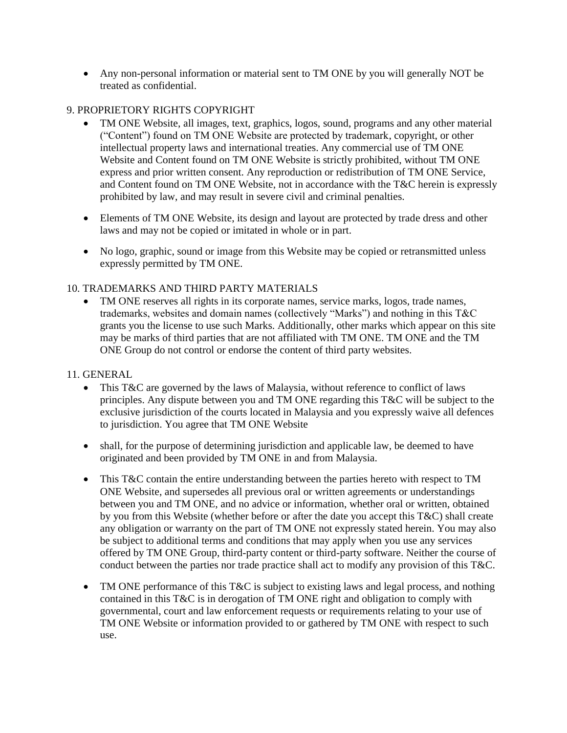Any non-personal information or material sent to TM ONE by you will generally NOT be treated as confidential.

## 9. PROPRIETORY RIGHTS COPYRIGHT

- TM ONE Website, all images, text, graphics, logos, sound, programs and any other material ("Content") found on TM ONE Website are protected by trademark, copyright, or other intellectual property laws and international treaties. Any commercial use of TM ONE Website and Content found on TM ONE Website is strictly prohibited, without TM ONE express and prior written consent. Any reproduction or redistribution of TM ONE Service, and Content found on TM ONE Website, not in accordance with the T&C herein is expressly prohibited by law, and may result in severe civil and criminal penalties.
- Elements of TM ONE Website, its design and layout are protected by trade dress and other laws and may not be copied or imitated in whole or in part.
- No logo, graphic, sound or image from this Website may be copied or retransmitted unless expressly permitted by TM ONE.

## 10. TRADEMARKS AND THIRD PARTY MATERIALS

 TM ONE reserves all rights in its corporate names, service marks, logos, trade names, trademarks, websites and domain names (collectively "Marks") and nothing in this T&C grants you the license to use such Marks. Additionally, other marks which appear on this site may be marks of third parties that are not affiliated with TM ONE. TM ONE and the TM ONE Group do not control or endorse the content of third party websites.

## 11. GENERAL

- This T&C are governed by the laws of Malaysia, without reference to conflict of laws principles. Any dispute between you and TM ONE regarding this T&C will be subject to the exclusive jurisdiction of the courts located in Malaysia and you expressly waive all defences to jurisdiction. You agree that TM ONE Website
- shall, for the purpose of determining jurisdiction and applicable law, be deemed to have originated and been provided by TM ONE in and from Malaysia.
- This T&C contain the entire understanding between the parties hereto with respect to TM ONE Website, and supersedes all previous oral or written agreements or understandings between you and TM ONE, and no advice or information, whether oral or written, obtained by you from this Website (whether before or after the date you accept this  $T\&C$ ) shall create any obligation or warranty on the part of TM ONE not expressly stated herein. You may also be subject to additional terms and conditions that may apply when you use any services offered by TM ONE Group, third-party content or third-party software. Neither the course of conduct between the parties nor trade practice shall act to modify any provision of this T&C.
- TM ONE performance of this T&C is subject to existing laws and legal process, and nothing contained in this T&C is in derogation of TM ONE right and obligation to comply with governmental, court and law enforcement requests or requirements relating to your use of TM ONE Website or information provided to or gathered by TM ONE with respect to such use.